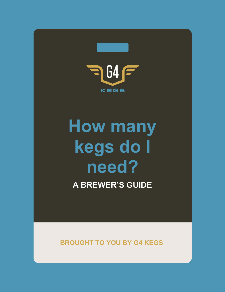

# **How many kegs do I need?**

**A BREWER'S GUIDE**

**BROUGHT TO YOU BY G4 KEGS**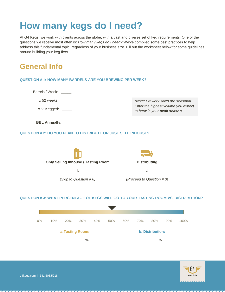# **How many kegs do I need?**

At G4 Kegs, we work with clients across the globe, with a vast and diverse set of keg requirements. One of the questions we receive most often is: *How many kegs do I need?* We've compiled some best practices to help address this fundamental topic, regardless of your business size. Fill out the worksheet below for some guidelines around building your keg fleet.

### **General Info**

#### **QUESTION # 1: HOW MANY BARRELS ARE YOU BREWING PER WEEK?**

Barrels / Week:

x 52 weeks

x % Kegged:

*\*Note: Brewery sales are seasonal. Enter the highest volume you expect to brew in your peak season.*

**= BBL Annually:** 

#### **QUESTION # 2: DO YOU PLAN TO DISTRIBUTE OR JUST SELL INHOUSE?**



#### **QUESTION # 3: WHAT PERCENTAGE OF KEGS WILL GO TO YOUR TASTING ROOM VS. DISTRIBUTION?**



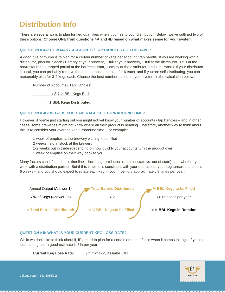### **Distribution Info**

There are several ways to plan for keg quantities when it comes to your distribution. Below, we've outlined two of these options. **Choose ONE from questions 4A and 4B based on what makes sense for your system.**

#### **QUESTION # 4A: HOW MANY ACCOUNTS / TAP HANDLES DO YOU HAVE?**

A good rule of thumb is to plan for a certain number of kegs per account / tap handle. If you are working with a distributor, plan for 7 each (1 empty at your brewery, 1 full at your brewery, 1 full at the distributor, 1 full at the bar/restaurant, 1 tapped partial at the bar/restaurant, 1 empty at the distributor, and 1 in transit). If your distributor is local, you can probably remove the one in transit and plan for 6 each, and if you are self-distributing, you can reasonably plan for 3-4 kegs each. Choose the best number based on your system in the calculation below.

Number of Accounts / Tap Handles: \_\_\_\_\_

x 3-7 ½ BBL Kegs Each

**= ½ BBL Kegs Distributed: \_\_\_\_\_**

#### **QUESTION # 4B: WHAT IS YOUR AVERAGE KEG TURNAROUND TIME?**

However, if you're just starting out you might not yet know your number of accounts / tap handles – and in other cases, some breweries might not know where all their product is heading. Therefore, another way to think about this is to consider your average keg turnaround time. For example:

- 1 week of empties at the brewery waiting to be filled
- 2 weeks held in stock at the brewery
- 1-2 weeks out in trade (depending on how quickly your accounts turn the product over)
- 1 week of empties on their way back to you

Many factors can influence this timeline – including distribution radius (instate vs. out of state), and whether you work with a distribution partner. But if this timeline is consistent with your operations, your keg turnaround time is 6 weeks – and you should expect to rotate each keg in your inventory approximately 8 times per year.



#### **QUESTION # 5: WHAT IS YOUR CURRENT KEG LOSS RATE?**

While we don't like to think about it, it's smart to plan for a certain amount of loss when it comes to kegs. If you're just starting out, a good estimate is 5% per year.

**Current Keg Loss Rate:** \_\_\_\_\_ *(If unknown, assume 5%)*

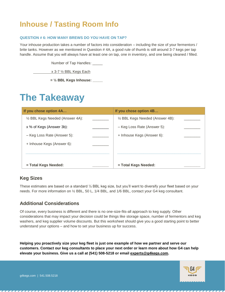### **Inhouse / Tasting Room Info**

#### **QUESTION # 6: HOW MANY BREWS DO YOU HAVE ON TAP?**

Your inhouse production takes a number of factors into consideration – including the size of your fermentors / brite tanks. However as we mentioned in Question # 4A, a good rule of thumb is still around 3-7 kegs per tap handle. Assume that you will always have at least one on tap, one in inventory, and one being cleaned / filled.

Number of Tap Handles: \_\_\_\_\_

x 3-7 ½ BBL Kegs Each

**= ½ BBL Kegs Inhouse: \_\_\_\_\_**

## **The Takeaway**

| If you chose option 4A           | If you chose option 4B           |  |
|----------------------------------|----------------------------------|--|
| 1/2 BBL Kegs Needed (Answer 4A): | 1/2 BBL Kegs Needed (Answer 4B): |  |
| x % of Kegs (Answer 3b):         | - Keg Loss Rate (Answer 5):      |  |
| - Keg Loss Rate (Answer 5):      | + Inhouse Kegs (Answer 6):       |  |
| + Inhouse Kegs (Answer 6):       |                                  |  |
|                                  |                                  |  |
|                                  |                                  |  |
| = Total Kegs Needed:             | = Total Kegs Needed:             |  |

### **Keg Sizes**

These estimates are based on a standard ½ BBL keg size, but you'll want to diversify your fleet based on your needs. For more information on ½ BBL, 50 L, 1/4 BBL, and 1/6 BBL, contact your G4 keg consultant.

### **Additional Considerations**

Of course, every business is different and there is no one-size-fits-all approach to keg supply. Other considerations that may impact your decision could be things like storage space, number of fermentors and keg washers, and keg supplier volume discounts. But this worksheet should give you a good starting point to better understand your options – and how to set your business up for success.

**Helping you proactively size your keg fleet is just one example of how we partner and serve our customers. Contact our keg consultants to place your next order or learn more about how G4 can help elevate your business. Give us a call at (541) 508-5218 or email [experts@g4kegs.com.](mailto:experts@g4kegs.com)**